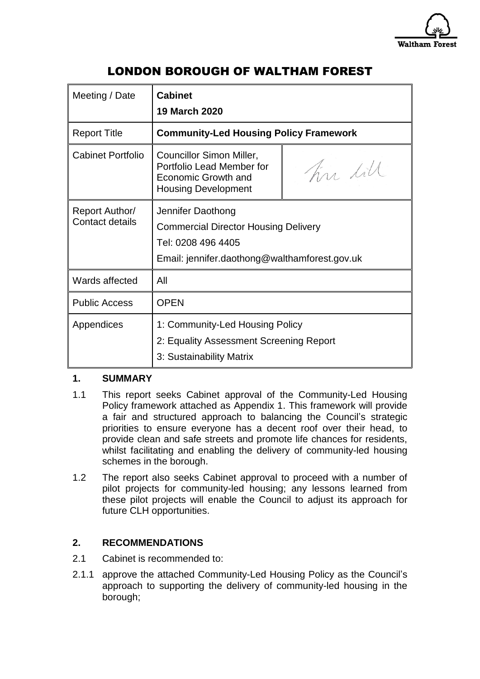

# LONDON BOROUGH OF WALTHAM FOREST

| Meeting / Date                    | <b>Cabinet</b><br><b>19 March 2020</b>                                                                                                  |          |
|-----------------------------------|-----------------------------------------------------------------------------------------------------------------------------------------|----------|
| <b>Report Title</b>               | <b>Community-Led Housing Policy Framework</b>                                                                                           |          |
| <b>Cabinet Portfolio</b>          | Councillor Simon Miller,<br>Portfolio Lead Member for<br><b>Economic Growth and</b><br><b>Housing Development</b>                       | Tim till |
| Report Author/<br>Contact details | Jennifer Daothong<br><b>Commercial Director Housing Delivery</b><br>Tel: 0208 496 4405<br>Email: jennifer.daothong@walthamforest.gov.uk |          |
| Wards affected                    | All                                                                                                                                     |          |
| <b>Public Access</b>              | <b>OPEN</b>                                                                                                                             |          |
| Appendices                        | 1: Community-Led Housing Policy<br>2: Equality Assessment Screening Report<br>3: Sustainability Matrix                                  |          |

## **1. SUMMARY**

- 1.1 This report seeks Cabinet approval of the Community-Led Housing Policy framework attached as Appendix 1. This framework will provide a fair and structured approach to balancing the Council's strategic priorities to ensure everyone has a decent roof over their head, to provide clean and safe streets and promote life chances for residents, whilst facilitating and enabling the delivery of community-led housing schemes in the borough.
- 1.2 The report also seeks Cabinet approval to proceed with a number of pilot projects for community-led housing; any lessons learned from these pilot projects will enable the Council to adjust its approach for future CLH opportunities.

## **2. RECOMMENDATIONS**

- 2.1 Cabinet is recommended to:
- 2.1.1 approve the attached Community-Led Housing Policy as the Council's approach to supporting the delivery of community-led housing in the borough;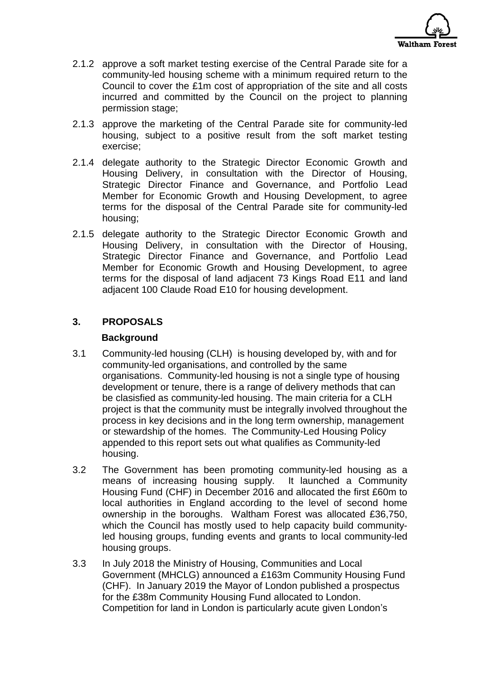

- 2.1.2 approve a soft market testing exercise of the Central Parade site for a community-led housing scheme with a minimum required return to the Council to cover the £1m cost of appropriation of the site and all costs incurred and committed by the Council on the project to planning permission stage;
- 2.1.3 approve the marketing of the Central Parade site for community-led housing, subject to a positive result from the soft market testing exercise;
- 2.1.4 delegate authority to the Strategic Director Economic Growth and Housing Delivery, in consultation with the Director of Housing, Strategic Director Finance and Governance, and Portfolio Lead Member for Economic Growth and Housing Development, to agree terms for the disposal of the Central Parade site for community-led housing;
- 2.1.5 delegate authority to the Strategic Director Economic Growth and Housing Delivery, in consultation with the Director of Housing, Strategic Director Finance and Governance, and Portfolio Lead Member for Economic Growth and Housing Development, to agree terms for the disposal of land adjacent 73 Kings Road E11 and land adjacent 100 Claude Road E10 for housing development.

## **3. PROPOSALS**

## **Background**

- 3.1 Community-led housing (CLH) is housing developed by, with and for community-led organisations, and controlled by the same organisations. Community-led housing is not a single type of housing development or tenure, there is a range of delivery methods that can be clasisfied as community-led housing. The main criteria for a CLH project is that the community must be integrally involved throughout the process in key decisions and in the long term ownership, management or stewardship of the homes. The Community-Led Housing Policy appended to this report sets out what qualifies as Community-led housing.
- 3.2 The Government has been promoting community-led housing as a means of increasing housing supply. It launched a Community Housing Fund (CHF) in December 2016 and allocated the first £60m to local authorities in England according to the level of second home ownership in the boroughs. Waltham Forest was allocated £36,750, which the Council has mostly used to help capacity build communityled housing groups, funding events and grants to local community-led housing groups.
- 3.3 In July 2018 the Ministry of Housing, Communities and Local Government (MHCLG) announced a £163m Community Housing Fund (CHF). In January 2019 the Mayor of London published a prospectus for the £38m Community Housing Fund allocated to London. Competition for land in London is particularly acute given London's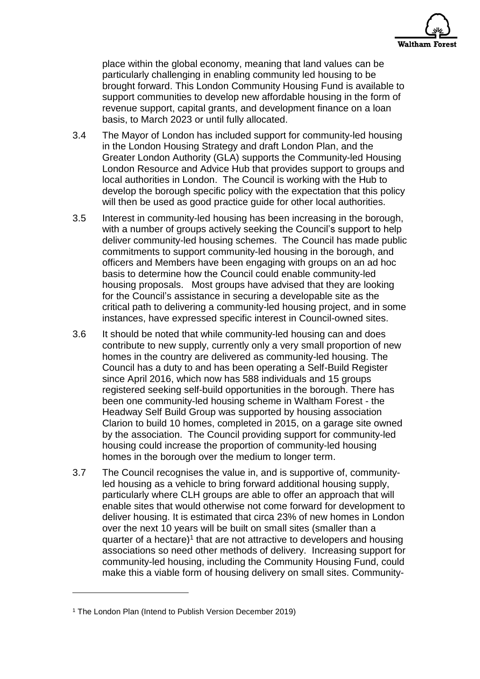

place within the global economy, meaning that land values can be particularly challenging in enabling community led housing to be brought forward. This London Community Housing Fund is available to support communities to develop new affordable housing in the form of revenue support, capital grants, and development finance on a loan basis, to March 2023 or until fully allocated.

- 3.4 The Mayor of London has included support for community-led housing in the London Housing Strategy and draft London Plan, and the Greater London Authority (GLA) supports the Community-led Housing London Resource and Advice Hub that provides support to groups and local authorities in London. The Council is working with the Hub to develop the borough specific policy with the expectation that this policy will then be used as good practice guide for other local authorities.
- 3.5 Interest in community-led housing has been increasing in the borough, with a number of groups actively seeking the Council's support to help deliver community-led housing schemes. The Council has made public commitments to support community-led housing in the borough, and officers and Members have been engaging with groups on an ad hoc basis to determine how the Council could enable community-led housing proposals. Most groups have advised that they are looking for the Council's assistance in securing a developable site as the critical path to delivering a community-led housing project, and in some instances, have expressed specific interest in Council-owned sites.
- 3.6 It should be noted that while community-led housing can and does contribute to new supply, currently only a very small proportion of new homes in the country are delivered as community-led housing. The Council has a duty to and has been operating a Self-Build Register since April 2016, which now has 588 individuals and 15 groups registered seeking self-build opportunities in the borough. There has been one community-led housing scheme in Waltham Forest - the Headway Self Build Group was supported by housing association Clarion to build 10 homes, completed in 2015, on a garage site owned by the association. The Council providing support for community-led housing could increase the proportion of community-led housing homes in the borough over the medium to longer term.
- 3.7 The Council recognises the value in, and is supportive of, communityled housing as a vehicle to bring forward additional housing supply, particularly where CLH groups are able to offer an approach that will enable sites that would otherwise not come forward for development to deliver housing. It is estimated that circa 23% of new homes in London over the next 10 years will be built on small sites (smaller than a quarter of a hectare)<sup>1</sup> that are not attractive to developers and housing associations so need other methods of delivery. Increasing support for community-led housing, including the Community Housing Fund, could make this a viable form of housing delivery on small sites. Community-

1

<sup>&</sup>lt;sup>1</sup> The London Plan (Intend to Publish Version December 2019)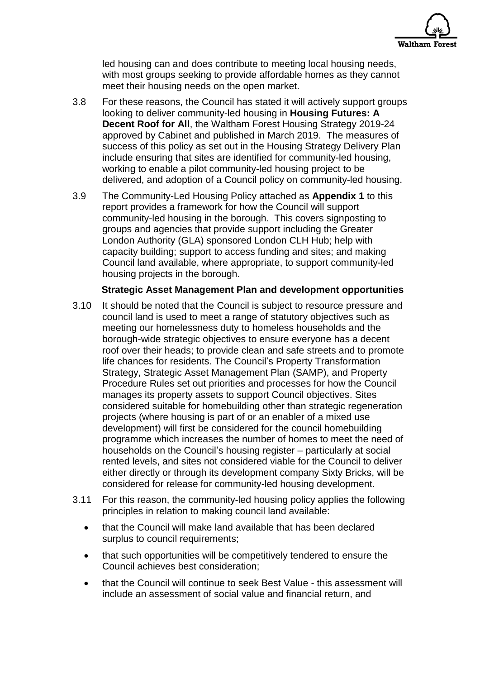

led housing can and does contribute to meeting local housing needs, with most groups seeking to provide affordable homes as they cannot meet their housing needs on the open market.

- 3.8 For these reasons, the Council has stated it will actively support groups looking to deliver community-led housing in **Housing Futures: A Decent Roof for All**, the Waltham Forest Housing Strategy 2019-24 approved by Cabinet and published in March 2019. The measures of success of this policy as set out in the Housing Strategy Delivery Plan include ensuring that sites are identified for community-led housing, working to enable a pilot community-led housing project to be delivered, and adoption of a Council policy on community-led housing.
- 3.9 The Community-Led Housing Policy attached as **Appendix 1** to this report provides a framework for how the Council will support community-led housing in the borough. This covers signposting to groups and agencies that provide support including the Greater London Authority (GLA) sponsored London CLH Hub; help with capacity building; support to access funding and sites; and making Council land available, where appropriate, to support community-led housing projects in the borough.

#### **Strategic Asset Management Plan and development opportunities**

- 3.10 It should be noted that the Council is subject to resource pressure and council land is used to meet a range of statutory objectives such as meeting our homelessness duty to homeless households and the borough-wide strategic objectives to ensure everyone has a decent roof over their heads; to provide clean and safe streets and to promote life chances for residents. The Council's Property Transformation Strategy, Strategic Asset Management Plan (SAMP), and Property Procedure Rules set out priorities and processes for how the Council manages its property assets to support Council objectives. Sites considered suitable for homebuilding other than strategic regeneration projects (where housing is part of or an enabler of a mixed use development) will first be considered for the council homebuilding programme which increases the number of homes to meet the need of households on the Council's housing register – particularly at social rented levels, and sites not considered viable for the Council to deliver either directly or through its development company Sixty Bricks, will be considered for release for community-led housing development.
- 3.11 For this reason, the community-led housing policy applies the following principles in relation to making council land available:
	- that the Council will make land available that has been declared surplus to council requirements;
	- that such opportunities will be competitively tendered to ensure the Council achieves best consideration;
	- that the Council will continue to seek Best Value this assessment will include an assessment of social value and financial return, and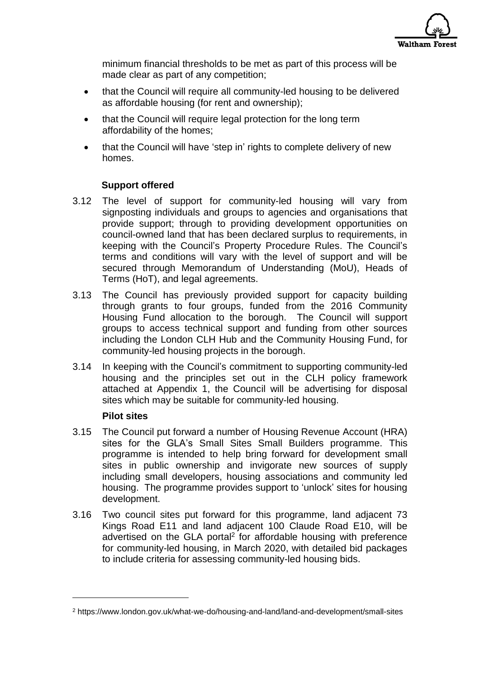

minimum financial thresholds to be met as part of this process will be made clear as part of any competition;

- that the Council will require all community-led housing to be delivered as affordable housing (for rent and ownership);
- that the Council will require legal protection for the long term affordability of the homes;
- that the Council will have 'step in' rights to complete delivery of new homes.

## **Support offered**

- 3.12 The level of support for community-led housing will vary from signposting individuals and groups to agencies and organisations that provide support; through to providing development opportunities on council-owned land that has been declared surplus to requirements, in keeping with the Council's Property Procedure Rules. The Council's terms and conditions will vary with the level of support and will be secured through Memorandum of Understanding (MoU), Heads of Terms (HoT), and legal agreements.
- 3.13 The Council has previously provided support for capacity building through grants to four groups, funded from the 2016 Community Housing Fund allocation to the borough. The Council will support groups to access technical support and funding from other sources including the London CLH Hub and the Community Housing Fund, for community-led housing projects in the borough.
- 3.14 In keeping with the Council's commitment to supporting community-led housing and the principles set out in the CLH policy framework attached at Appendix 1, the Council will be advertising for disposal sites which may be suitable for community-led housing.

#### **Pilot sites**

1

- 3.15 The Council put forward a number of Housing Revenue Account (HRA) sites for the GLA's Small Sites Small Builders programme. This programme is intended to help bring forward for development small sites in public ownership and invigorate new sources of supply including small developers, housing associations and community led housing. The programme provides support to 'unlock' sites for housing development.
- 3.16 Two council sites put forward for this programme, land adjacent 73 Kings Road E11 and land adjacent 100 Claude Road E10, will be advertised on the GLA portal<sup>2</sup> for affordable housing with preference for community-led housing, in March 2020, with detailed bid packages to include criteria for assessing community-led housing bids.

<sup>2</sup> https://www.london.gov.uk/what-we-do/housing-and-land/land-and-development/small-sites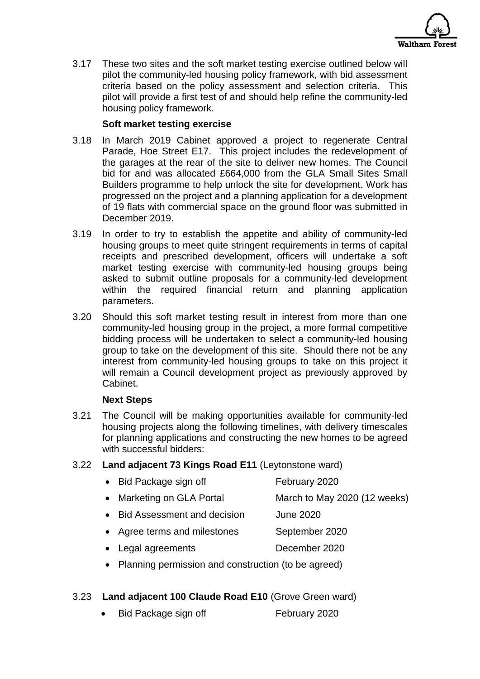

3.17 These two sites and the soft market testing exercise outlined below will pilot the community-led housing policy framework, with bid assessment criteria based on the policy assessment and selection criteria. This pilot will provide a first test of and should help refine the community-led housing policy framework.

### **Soft market testing exercise**

- 3.18 In March 2019 Cabinet approved a project to regenerate Central Parade, Hoe Street E17. This project includes the redevelopment of the garages at the rear of the site to deliver new homes. The Council bid for and was allocated £664,000 from the GLA Small Sites Small Builders programme to help unlock the site for development. Work has progressed on the project and a planning application for a development of 19 flats with commercial space on the ground floor was submitted in December 2019.
- 3.19 In order to try to establish the appetite and ability of community-led housing groups to meet quite stringent requirements in terms of capital receipts and prescribed development, officers will undertake a soft market testing exercise with community-led housing groups being asked to submit outline proposals for a community-led development within the required financial return and planning application parameters.
- 3.20 Should this soft market testing result in interest from more than one community-led housing group in the project, a more formal competitive bidding process will be undertaken to select a community-led housing group to take on the development of this site. Should there not be any interest from community-led housing groups to take on this project it will remain a Council development project as previously approved by Cabinet.

#### **Next Steps**

- 3.21 The Council will be making opportunities available for community-led housing projects along the following timelines, with delivery timescales for planning applications and constructing the new homes to be agreed with successful bidders:
- 3.22 **Land adjacent 73 Kings Road E11** (Leytonstone ward)

| • Bid Package sign off    | February 2020                |
|---------------------------|------------------------------|
| • Marketing on GLA Portal | March to May 2020 (12 weeks) |

- Bid Assessment and decision June 2020
- Agree terms and milestones September 2020
- Legal agreements December 2020
- Planning permission and construction (to be agreed)
- 3.23 **Land adjacent 100 Claude Road E10** (Grove Green ward)
	- Bid Package sign off February 2020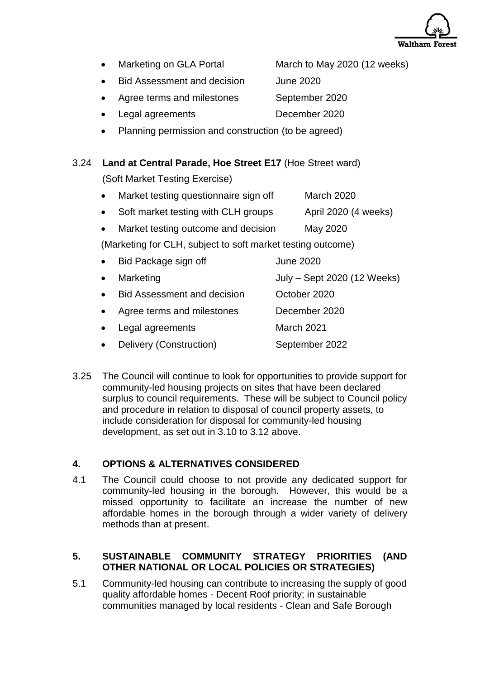

- Marketing on GLA Portal March to May 2020 (12 weeks)
	- Bid Assessment and decision June 2020
- Agree terms and milestones September 2020
- Legal agreements December 2020
- Planning permission and construction (to be agreed)

## 3.24 **Land at Central Parade, Hoe Street E17** (Hoe Street ward)

(Soft Market Testing Exercise)

- Market testing questionnaire sign off March 2020
- Soft market testing with CLH groups April 2020 (4 weeks)
- Market testing outcome and decision May 2020

(Marketing for CLH, subject to soft market testing outcome)

| $\bullet$ | Bid Package sign off               | <b>June 2020</b>            |
|-----------|------------------------------------|-----------------------------|
| $\bullet$ | Marketing                          | July - Sept 2020 (12 Weeks) |
| $\bullet$ | <b>Bid Assessment and decision</b> | October 2020                |
| $\bullet$ | Agree terms and milestones         | December 2020               |
| $\bullet$ | Legal agreements                   | March 2021                  |
| $\bullet$ | Delivery (Construction)            | September 2022              |

3.25 The Council will continue to look for opportunities to provide support for community-led housing projects on sites that have been declared surplus to council requirements. These will be subject to Council policy and procedure in relation to disposal of council property assets, to include consideration for disposal for community-led housing development, as set out in 3.10 to 3.12 above.

## **4. OPTIONS & ALTERNATIVES CONSIDERED**

4.1 The Council could choose to not provide any dedicated support for community-led housing in the borough. However, this would be a missed opportunity to facilitate an increase the number of new affordable homes in the borough through a wider variety of delivery methods than at present.

## **5. SUSTAINABLE COMMUNITY STRATEGY PRIORITIES (AND OTHER NATIONAL OR LOCAL POLICIES OR STRATEGIES)**

5.1 Community-led housing can contribute to increasing the supply of good quality affordable homes - Decent Roof priority; in sustainable communities managed by local residents - Clean and Safe Borough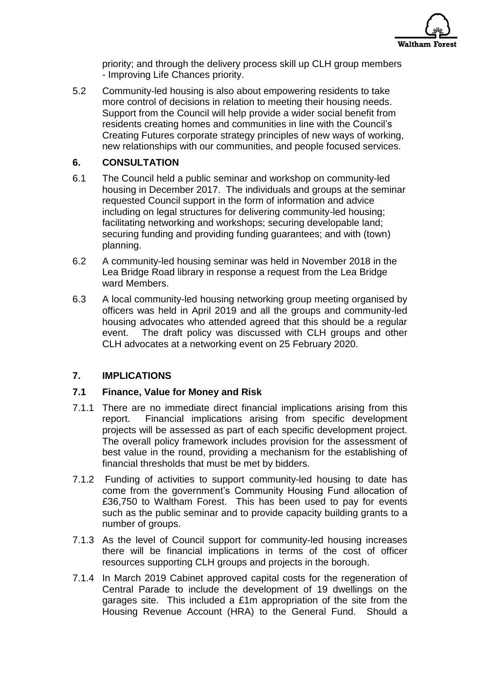

priority; and through the delivery process skill up CLH group members - Improving Life Chances priority.

5.2 Community-led housing is also about empowering residents to take more control of decisions in relation to meeting their housing needs. Support from the Council will help provide a wider social benefit from residents creating homes and communities in line with the Council's Creating Futures corporate strategy principles of new ways of working, new relationships with our communities, and people focused services.

## **6. CONSULTATION**

- 6.1 The Council held a public seminar and workshop on community-led housing in December 2017. The individuals and groups at the seminar requested Council support in the form of information and advice including on legal structures for delivering community-led housing; facilitating networking and workshops; securing developable land; securing funding and providing funding guarantees; and with (town) planning.
- 6.2 A community-led housing seminar was held in November 2018 in the Lea Bridge Road library in response a request from the Lea Bridge ward Members.
- 6.3 A local community-led housing networking group meeting organised by officers was held in April 2019 and all the groups and community-led housing advocates who attended agreed that this should be a regular event. The draft policy was discussed with CLH groups and other CLH advocates at a networking event on 25 February 2020.

## **7. IMPLICATIONS**

#### **7.1 Finance, Value for Money and Risk**

- 7.1.1 There are no immediate direct financial implications arising from this report. Financial implications arising from specific development projects will be assessed as part of each specific development project. The overall policy framework includes provision for the assessment of best value in the round, providing a mechanism for the establishing of financial thresholds that must be met by bidders.
- 7.1.2 Funding of activities to support community-led housing to date has come from the government's Community Housing Fund allocation of £36,750 to Waltham Forest. This has been used to pay for events such as the public seminar and to provide capacity building grants to a number of groups.
- 7.1.3 As the level of Council support for community-led housing increases there will be financial implications in terms of the cost of officer resources supporting CLH groups and projects in the borough.
- 7.1.4 In March 2019 Cabinet approved capital costs for the regeneration of Central Parade to include the development of 19 dwellings on the garages site. This included a £1m appropriation of the site from the Housing Revenue Account (HRA) to the General Fund. Should a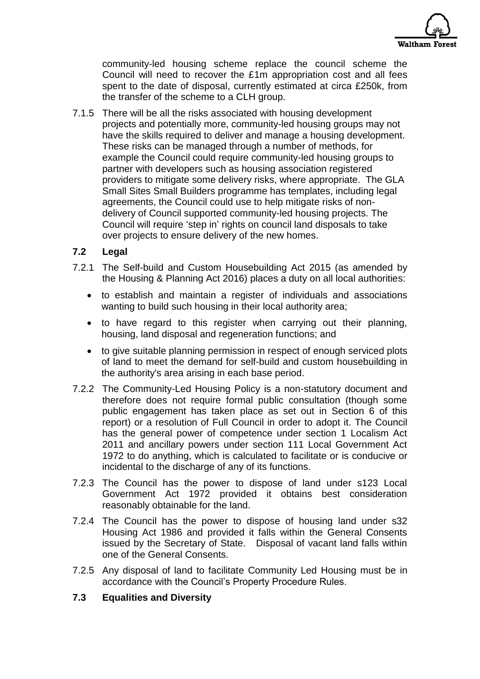

community-led housing scheme replace the council scheme the Council will need to recover the £1m appropriation cost and all fees spent to the date of disposal, currently estimated at circa £250k, from the transfer of the scheme to a CLH group.

7.1.5 There will be all the risks associated with housing development projects and potentially more, community-led housing groups may not have the skills required to deliver and manage a housing development. These risks can be managed through a number of methods, for example the Council could require community-led housing groups to partner with developers such as housing association registered providers to mitigate some delivery risks, where appropriate. The GLA Small Sites Small Builders programme has templates, including legal agreements, the Council could use to help mitigate risks of nondelivery of Council supported community-led housing projects. The Council will require 'step in' rights on council land disposals to take over projects to ensure delivery of the new homes.

#### **7.2 Legal**

- 7.2.1 The Self-build and Custom Housebuilding Act 2015 (as amended by the Housing & Planning Act 2016) places a duty on all local authorities:
	- to establish and maintain a register of individuals and associations wanting to build such housing in their local authority area;
	- to have regard to this register when carrying out their planning, housing, land disposal and regeneration functions; and
	- to give suitable planning permission in respect of enough serviced plots of land to meet the demand for self-build and custom housebuilding in the authority's area arising in each base period.
- 7.2.2 The Community-Led Housing Policy is a non-statutory document and therefore does not require formal public consultation (though some public engagement has taken place as set out in Section 6 of this report) or a resolution of Full Council in order to adopt it. The Council has the general power of competence under section 1 Localism Act 2011 and ancillary powers under section 111 Local Government Act 1972 to do anything, which is calculated to facilitate or is conducive or incidental to the discharge of any of its functions.
- 7.2.3 The Council has the power to dispose of land under s123 Local Government Act 1972 provided it obtains best consideration reasonably obtainable for the land.
- 7.2.4 The Council has the power to dispose of housing land under s32 Housing Act 1986 and provided it falls within the General Consents issued by the Secretary of State. Disposal of vacant land falls within one of the General Consents.
- 7.2.5 Any disposal of land to facilitate Community Led Housing must be in accordance with the Council's Property Procedure Rules.

#### **7.3 Equalities and Diversity**